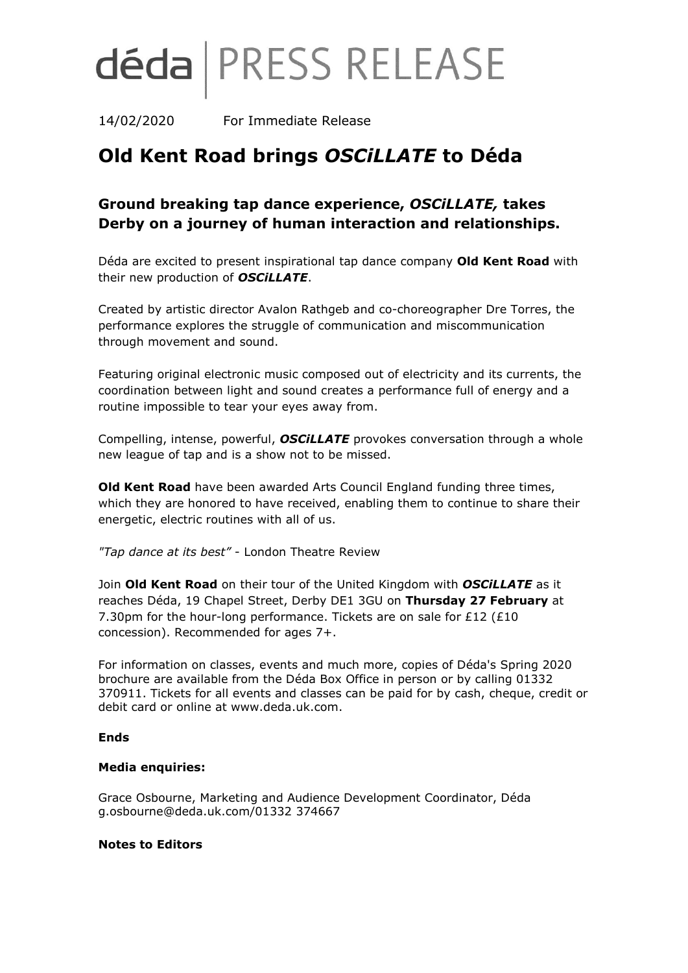# déda | PRESS RELEASE

14/02/2020 For Immediate Release

## **Old Kent Road brings** *OSCiLLATE* **to Déda**

### **Ground breaking tap dance experience,** *OSCiLLATE,* **takes Derby on a journey of human interaction and relationships.**

Déda are excited to present inspirational tap dance company **Old Kent Road** with their new production of *OSCiLLATE*.

Created by artistic director Avalon Rathgeb and co-choreographer Dre Torres, the performance explores the struggle of communication and miscommunication through movement and sound.

Featuring original electronic music composed out of electricity and its currents, the coordination between light and sound creates a performance full of energy and a routine impossible to tear your eyes away from.

Compelling, intense, powerful, *OSCiLLATE* provokes conversation through a whole new league of tap and is a show not to be missed.

**Old Kent Road** have been awarded Arts Council England funding three times, which they are honored to have received, enabling them to continue to share their energetic, electric routines with all of us.

*"Tap dance at its best"* - London Theatre Review

Join **Old Kent Road** on their tour of the United Kingdom with *OSCiLLATE* as it reaches Déda, 19 Chapel Street, Derby DE1 3GU on **Thursday 27 February** at 7.30pm for the hour-long performance. Tickets are on sale for £12 (£10 concession). Recommended for ages 7+.

For information on classes, events and much more, copies of Déda's Spring 2020 brochure are available from the Déda Box Office in person or by calling 01332 370911. Tickets for all events and classes can be paid for by cash, cheque, credit or debit card or online at www.deda.uk.com.

#### **Ends**

#### **Media enquiries:**

Grace Osbourne, Marketing and Audience Development Coordinator, Déda g.osbourne@deda.uk.com/01332 374667

#### **Notes to Editors**